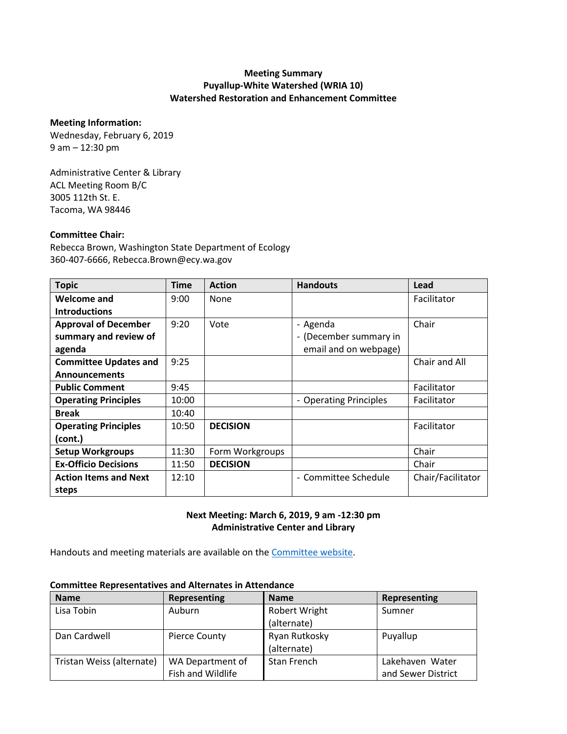## **Meeting Summary Puyallup-White Watershed (WRIA 10) Watershed Restoration and Enhancement Committee**

#### **Meeting Information:**

Wednesday, February 6, 2019 9 am – 12:30 pm

Administrative Center & Library ACL Meeting Room B/C 3005 112th St. E. Tacoma, WA 98446

### **Committee Chair:**

Rebecca Brown, Washington State Department of Ecology 360-407-6666, Rebecca.Brown@ecy.wa.gov

| <b>Topic</b>                 | <b>Time</b> | <b>Action</b>   | <b>Handouts</b>        | Lead              |
|------------------------------|-------------|-----------------|------------------------|-------------------|
| <b>Welcome and</b>           | 9:00        | None            |                        | Facilitator       |
| <b>Introductions</b>         |             |                 |                        |                   |
| <b>Approval of December</b>  | 9:20        | Vote            | - Agenda               | Chair             |
| summary and review of        |             |                 | - (December summary in |                   |
| agenda                       |             |                 | email and on webpage)  |                   |
| <b>Committee Updates and</b> | 9:25        |                 |                        | Chair and All     |
| <b>Announcements</b>         |             |                 |                        |                   |
| <b>Public Comment</b>        | 9:45        |                 |                        | Facilitator       |
| <b>Operating Principles</b>  | 10:00       |                 | - Operating Principles | Facilitator       |
| <b>Break</b>                 | 10:40       |                 |                        |                   |
| <b>Operating Principles</b>  | 10:50       | <b>DECISION</b> |                        | Facilitator       |
| (cont.)                      |             |                 |                        |                   |
| <b>Setup Workgroups</b>      | 11:30       | Form Workgroups |                        | Chair             |
| <b>Ex-Officio Decisions</b>  | 11:50       | <b>DECISION</b> |                        | Chair             |
| <b>Action Items and Next</b> | 12:10       |                 | - Committee Schedule   | Chair/Facilitator |
| steps                        |             |                 |                        |                   |

### **Next Meeting: March 6, 2019, 9 am -12:30 pm Administrative Center and Library**

Handouts and meeting materials are available on the [Committee website.](https://www.ezview.wa.gov/site/alias__1962/37323/watershed_restoration_and_enhancement_-_wria_10.aspx)

| <b>Name</b>               | <b>Representing</b> | <b>Name</b>          | Representing       |
|---------------------------|---------------------|----------------------|--------------------|
| Lisa Tobin                | Auburn              | <b>Robert Wright</b> | Sumner             |
|                           |                     | (alternate)          |                    |
| Dan Cardwell              | Pierce County       | Ryan Rutkosky        | Puyallup           |
|                           |                     | (alternate)          |                    |
| Tristan Weiss (alternate) | WA Department of    | Stan French          | Lakehaven Water    |
|                           | Fish and Wildlife   |                      | and Sewer District |

#### **Committee Representatives and Alternates in Attendance**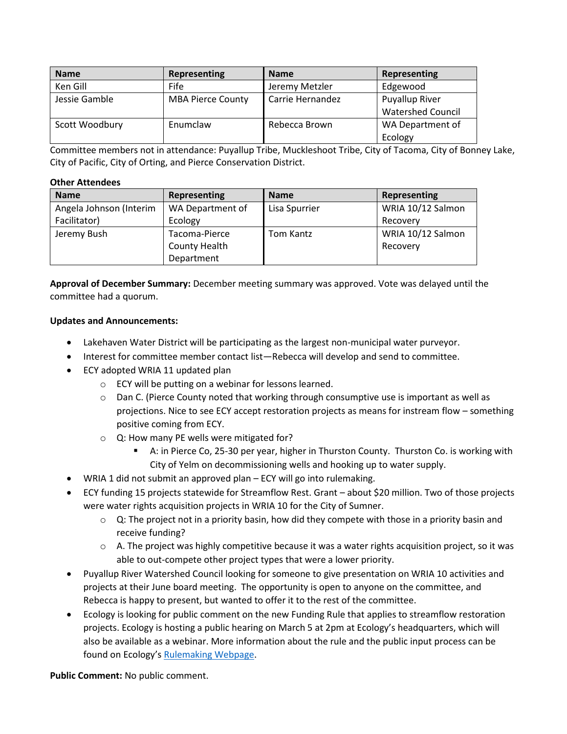| <b>Name</b>    | Representing             | <b>Name</b>      | Representing             |
|----------------|--------------------------|------------------|--------------------------|
| Ken Gill       | <b>Fife</b>              | Jeremy Metzler   | Edgewood                 |
| Jessie Gamble  | <b>MBA Pierce County</b> | Carrie Hernandez | <b>Puyallup River</b>    |
|                |                          |                  | <b>Watershed Council</b> |
| Scott Woodbury | Enumclaw                 | Rebecca Brown    | WA Department of         |
|                |                          |                  | Ecology                  |

Committee members not in attendance: Puyallup Tribe, Muckleshoot Tribe, City of Tacoma, City of Bonney Lake, City of Pacific, City of Orting, and Pierce Conservation District.

#### **Other Attendees**

| <b>Name</b>             | Representing         | <b>Name</b>   | Representing      |
|-------------------------|----------------------|---------------|-------------------|
| Angela Johnson (Interim | WA Department of     | Lisa Spurrier | WRIA 10/12 Salmon |
| Facilitator)            | Ecology              |               | Recovery          |
| Jeremy Bush             | Tacoma-Pierce        | Tom Kantz     | WRIA 10/12 Salmon |
|                         | <b>County Health</b> |               | Recovery          |
|                         | Department           |               |                   |

**Approval of December Summary:** December meeting summary was approved. Vote was delayed until the committee had a quorum.

### **Updates and Announcements:**

- Lakehaven Water District will be participating as the largest non-municipal water purveyor.
- Interest for committee member contact list—Rebecca will develop and send to committee.
- ECY adopted WRIA 11 updated plan
	- o ECY will be putting on a webinar for lessons learned.
	- $\circ$  Dan C. (Pierce County noted that working through consumptive use is important as well as projections. Nice to see ECY accept restoration projects as means for instream flow – something positive coming from ECY.
	- o Q: How many PE wells were mitigated for?
		- A: in Pierce Co, 25-30 per year, higher in Thurston County. Thurston Co. is working with City of Yelm on decommissioning wells and hooking up to water supply.
- WRIA 1 did not submit an approved plan ECY will go into rulemaking.
- ECY funding 15 projects statewide for Streamflow Rest. Grant about \$20 million. Two of those projects were water rights acquisition projects in WRIA 10 for the City of Sumner.
	- $\circ$  Q: The project not in a priority basin, how did they compete with those in a priority basin and receive funding?
	- $\circ$  A. The project was highly competitive because it was a water rights acquisition project, so it was able to out-compete other project types that were a lower priority.
- Puyallup River Watershed Council looking for someone to give presentation on WRIA 10 activities and projects at their June board meeting. The opportunity is open to anyone on the committee, and Rebecca is happy to present, but wanted to offer it to the rest of the committee.
- Ecology is looking for public comment on the new Funding Rule that applies to streamflow restoration projects. Ecology is hosting a public hearing on March 5 at 2pm at Ecology's headquarters, which will also be available as a webinar. More information about the rule and the public input process can be found on Ecology's [Rulemaking Webpage.](https://ecology.wa.gov/Regulations-Permits/Laws-rules-rulemaking/Rulemaking/WAC-173-566)

**Public Comment:** No public comment.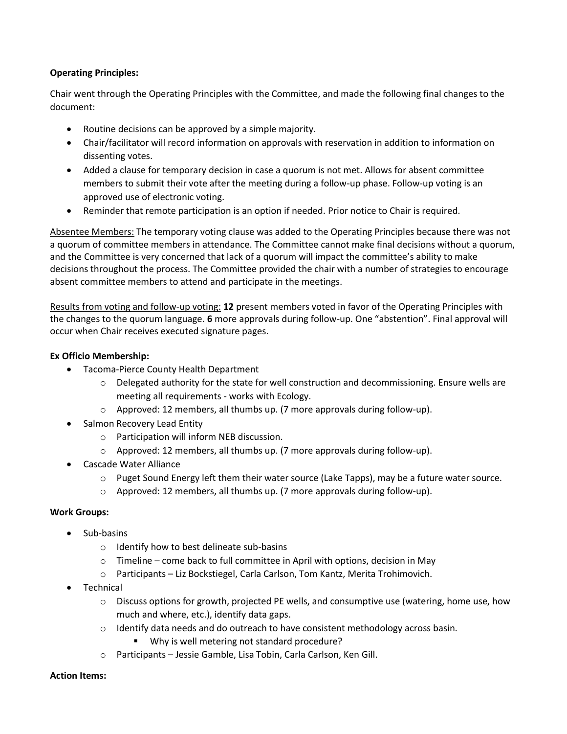## **Operating Principles:**

Chair went through the Operating Principles with the Committee, and made the following final changes to the document:

- Routine decisions can be approved by a simple majority.
- Chair/facilitator will record information on approvals with reservation in addition to information on dissenting votes.
- Added a clause for temporary decision in case a quorum is not met. Allows for absent committee members to submit their vote after the meeting during a follow-up phase. Follow-up voting is an approved use of electronic voting.
- Reminder that remote participation is an option if needed. Prior notice to Chair is required.

Absentee Members: The temporary voting clause was added to the Operating Principles because there was not a quorum of committee members in attendance. The Committee cannot make final decisions without a quorum, and the Committee is very concerned that lack of a quorum will impact the committee's ability to make decisions throughout the process. The Committee provided the chair with a number of strategies to encourage absent committee members to attend and participate in the meetings.

Results from voting and follow-up voting: **12** present members voted in favor of the Operating Principles with the changes to the quorum language. **6** more approvals during follow-up. One "abstention". Final approval will occur when Chair receives executed signature pages.

# **Ex Officio Membership:**

- Tacoma-Pierce County Health Department
	- $\circ$  Delegated authority for the state for well construction and decommissioning. Ensure wells are meeting all requirements - works with Ecology.
	- o Approved: 12 members, all thumbs up. (7 more approvals during follow-up).
- Salmon Recovery Lead Entity
	- o Participation will inform NEB discussion.
	- o Approved: 12 members, all thumbs up. (7 more approvals during follow-up).
- Cascade Water Alliance
	- $\circ$  Puget Sound Energy left them their water source (Lake Tapps), may be a future water source.
	- $\circ$  Approved: 12 members, all thumbs up. (7 more approvals during follow-up).

### **Work Groups:**

- Sub-basins
	- o Identify how to best delineate sub-basins
	- o Timeline come back to full committee in April with options, decision in May
	- o Participants Liz Bockstiegel, Carla Carlson, Tom Kantz, Merita Trohimovich.
- Technical
	- $\circ$  Discuss options for growth, projected PE wells, and consumptive use (watering, home use, how much and where, etc.), identify data gaps.
	- $\circ$  Identify data needs and do outreach to have consistent methodology across basin.
		- Why is well metering not standard procedure?
	- o Participants Jessie Gamble, Lisa Tobin, Carla Carlson, Ken Gill.

### **Action Items:**